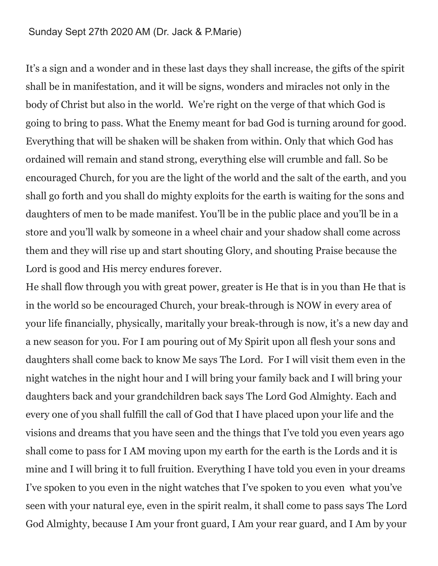## Sunday Sept 27th 2020 AM (Dr. Jack & P.Marie)

It's a sign and a wonder and in these last days they shall increase, the gifts of the spirit shall be in manifestation, and it will be signs, wonders and miracles not only in the body of Christ but also in the world. We're right on the verge of that which God is going to bring to pass. What the Enemy meant for bad God is turning around for good. Everything that will be shaken will be shaken from within. Only that which God has ordained will remain and stand strong, everything else will crumble and fall. So be encouraged Church, for you are the light of the world and the salt of the earth, and you shall go forth and you shall do mighty exploits for the earth is waiting for the sons and daughters of men to be made manifest. You'll be in the public place and you'll be in a store and you'll walk by someone in a wheel chair and your shadow shall come across them and they will rise up and start shouting Glory, and shouting Praise because the Lord is good and His mercy endures forever.

He shall flow through you with great power, greater is He that is in you than He that is in the world so be encouraged Church, your break-through is NOW in every area of your life financially, physically, maritally your break-through is now, it's a new day and a new season for you. For I am pouring out of My Spirit upon all flesh your sons and daughters shall come back to know Me says The Lord. For I will visit them even in the night watches in the night hour and I will bring your family back and I will bring your daughters back and your grandchildren back says The Lord God Almighty. Each and every one of you shall fulfill the call of God that I have placed upon your life and the visions and dreams that you have seen and the things that I've told you even years ago shall come to pass for I AM moving upon my earth for the earth is the Lords and it is mine and I will bring it to full fruition. Everything I have told you even in your dreams I've spoken to you even in the night watches that I've spoken to you even what you've seen with your natural eye, even in the spirit realm, it shall come to pass says The Lord God Almighty, because I Am your front guard, I Am your rear guard, and I Am by your